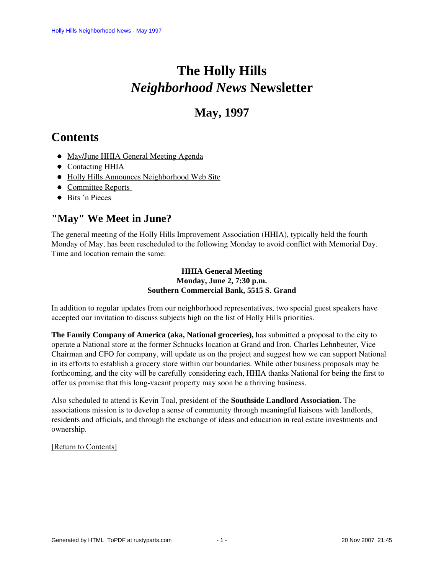# **The Holly Hills**  *Neighborhood News* **Newsletter**

# **May, 1997**

# <span id="page-0-2"></span>**Contents**

- [May/June HHIA General Meeting Agenda](#page-0-0)
- [Contacting HHIA](#page-0-1)
- [Holly Hills Announces Neighborhood Web Site](#page-1-0)
- Committee Reports
- [Bits 'n Pieces](#page-4-0)

# <span id="page-0-0"></span>**"May" We Meet in June?**

The general meeting of the Holly Hills Improvement Association (HHIA), typically held the fourth Monday of May, has been rescheduled to the following Monday to avoid conflict with Memorial Day. Time and location remain the same:

### **HHIA General Meeting Monday, June 2, 7:30 p.m. Southern Commercial Bank, 5515 S. Grand**

In addition to regular updates from our neighborhood representatives, two special guest speakers have accepted our invitation to discuss subjects high on the list of Holly Hills priorities.

**The Family Company of America (aka, National groceries),** has submitted a proposal to the city to operate a National store at the former Schnucks location at Grand and Iron. Charles Lehnbeuter, Vice Chairman and CFO for company, will update us on the project and suggest how we can support National in its efforts to establish a grocery store within our boundaries. While other business proposals may be forthcoming, and the city will be carefully considering each, HHIA thanks National for being the first to offer us promise that this long-vacant property may soon be a thriving business.

Also scheduled to attend is Kevin Toal, president of the **Southside Landlord Association.** The associations mission is to develop a sense of community through meaningful liaisons with landlords, residents and officials, and through the exchange of ideas and education in real estate investments and ownership.

### <span id="page-0-1"></span>[\[Return to Contents\]](#page-0-2)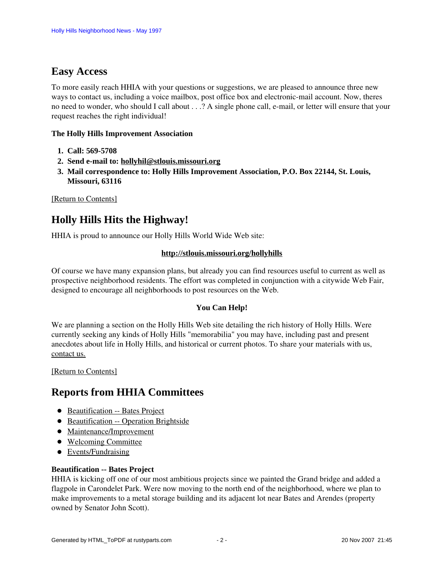# **Easy Access**

To more easily reach HHIA with your questions or suggestions, we are pleased to announce three new ways to contact us, including a voice mailbox, post office box and electronic-mail account. Now, theres no need to wonder, who should I call about . . .? A single phone call, e-mail, or letter will ensure that your request reaches the right individual!

#### **The Holly Hills Improvement Association**

- **1. Call: 569-5708**
- **2. Send e-mail to: hollyhil@stlouis.missouri.org**
- **3. Mail correspondence to: Holly Hills Improvement Association, P.O. Box 22144, St. Louis, Missouri, 63116**

<span id="page-1-0"></span>[\[Return to Contents\]](#page-0-2)

## **Holly Hills Hits the Highway!**

HHIA is proud to announce our Holly Hills World Wide Web site:

#### **http://stlouis.missouri.org/hollyhills**

Of course we have many expansion plans, but already you can find resources useful to current as well as prospective neighborhood residents. The effort was completed in conjunction with a citywide Web Fair, designed to encourage all neighborhoods to post resources on the Web.

### **You Can Help!**

We are planning a section on the Holly Hills Web site detailing the rich history of Holly Hills. Were currently seeking any kinds of Holly Hills "memorabilia" you may have, including past and present anecdotes about life in Holly Hills, and historical or current photos. To share your materials with us, contact us.

<span id="page-1-1"></span>[\[Return to Contents\]](#page-0-2)

### <span id="page-1-3"></span>**Reports from HHIA Committees**

- [Beautification -- Bates Project](#page-1-2)
- [Beautification -- Operation Brightside](#page-2-0)
- [Maintenance/Improvement](#page-2-1)
- [Welcoming Committee](#page-3-0)
- [Events/Fundraising](#page-3-1)

#### <span id="page-1-2"></span>**Beautification -- Bates Project**

HHIA is kicking off one of our most ambitious projects since we painted the Grand bridge and added a flagpole in Carondelet Park. Were now moving to the north end of the neighborhood, where we plan to make improvements to a metal storage building and its adjacent lot near Bates and Arendes (property owned by Senator John Scott).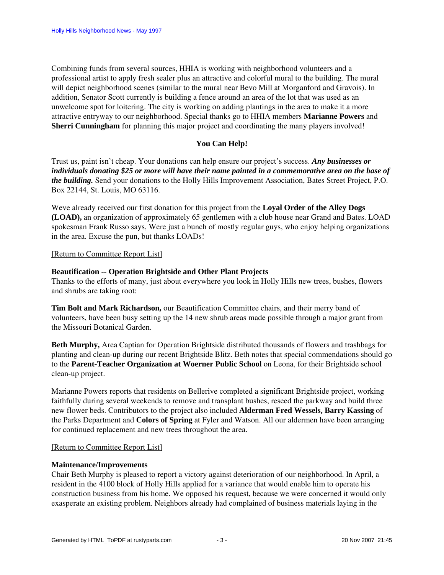Combining funds from several sources, HHIA is working with neighborhood volunteers and a professional artist to apply fresh sealer plus an attractive and colorful mural to the building. The mural will depict neighborhood scenes (similar to the mural near Bevo Mill at Morganford and Gravois). In addition, Senator Scott currently is building a fence around an area of the lot that was used as an unwelcome spot for loitering. The city is working on adding plantings in the area to make it a more attractive entryway to our neighborhood. Special thanks go to HHIA members **Marianne Powers** and **Sherri Cunningham** for planning this major project and coordinating the many players involved!

### **You Can Help!**

Trust us, paint isn't cheap. Your donations can help ensure our project's success. *Any businesses or individuals donating \$25 or more will have their name painted in a commemorative area on the base of the building.* Send your donations to the Holly Hills Improvement Association, Bates Street Project, P.O. Box 22144, St. Louis, MO 63116.

Weve already received our first donation for this project from the **Loyal Order of the Alley Dogs (LOAD),** an organization of approximately 65 gentlemen with a club house near Grand and Bates. LOAD spokesman Frank Russo says, Were just a bunch of mostly regular guys, who enjoy helping organizations in the area. Excuse the pun, but thanks LOADs!

[\[Return to Committee Report List\]](#page-1-3)

#### <span id="page-2-0"></span>**Beautification -- Operation Brightside and Other Plant Projects**

Thanks to the efforts of many, just about everywhere you look in Holly Hills new trees, bushes, flowers and shrubs are taking root:

**Tim Bolt and Mark Richardson,** our Beautification Committee chairs, and their merry band of volunteers, have been busy setting up the 14 new shrub areas made possible through a major grant from the Missouri Botanical Garden.

**Beth Murphy,** Area Captian for Operation Brightside distributed thousands of flowers and trashbags for planting and clean-up during our recent Brightside Blitz. Beth notes that special commendations should go to the **Parent-Teacher Organization at Woerner Public School** on Leona, for their Brightside school clean-up project.

Marianne Powers reports that residents on Bellerive completed a significant Brightside project, working faithfully during several weekends to remove and transplant bushes, reseed the parkway and build three new flower beds. Contributors to the project also included **Alderman Fred Wessels, Barry Kassing** of the Parks Department and **Colors of Spring** at Fyler and Watson. All our aldermen have been arranging for continued replacement and new trees throughout the area.

#### [\[Return to Committee Report List\]](#page-1-3)

#### <span id="page-2-1"></span>**Maintenance/Improvements**

Chair Beth Murphy is pleased to report a victory against deterioration of our neighborhood. In April, a resident in the 4100 block of Holly Hills applied for a variance that would enable him to operate his construction business from his home. We opposed his request, because we were concerned it would only exasperate an existing problem. Neighbors already had complained of business materials laying in the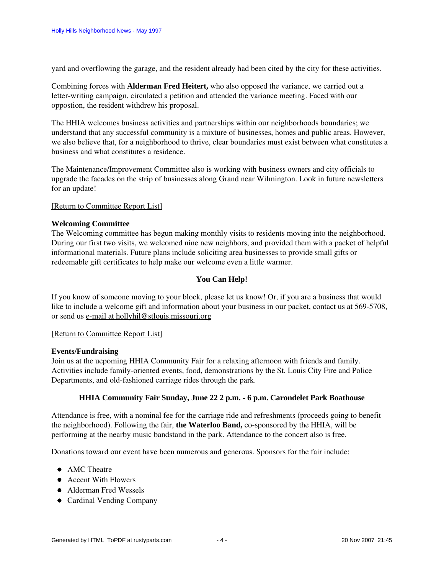yard and overflowing the garage, and the resident already had been cited by the city for these activities.

Combining forces with **Alderman Fred Heitert,** who also opposed the variance, we carried out a letter-writing campaign, circulated a petition and attended the variance meeting. Faced with our oppostion, the resident withdrew his proposal.

The HHIA welcomes business activities and partnerships within our neighborhoods boundaries; we understand that any successful community is a mixture of businesses, homes and public areas. However, we also believe that, for a neighborhood to thrive, clear boundaries must exist between what constitutes a business and what constitutes a residence.

The Maintenance/Improvement Committee also is working with business owners and city officials to upgrade the facades on the strip of businesses along Grand near Wilmington. Look in future newsletters for an update!

#### [\[Return to Committee Report List\]](#page-1-3)

#### <span id="page-3-0"></span>**Welcoming Committee**

The Welcoming committee has begun making monthly visits to residents moving into the neighborhood. During our first two visits, we welcomed nine new neighbors, and provided them with a packet of helpful informational materials. Future plans include soliciting area businesses to provide small gifts or redeemable gift certificates to help make our welcome even a little warmer.

#### **You Can Help!**

If you know of someone moving to your block, please let us know! Or, if you are a business that would like to include a welcome gift and information about your business in our packet, contact us at 569-5708, or send us e-mail at hollyhil@stlouis.missouri.org

#### [\[Return to Committee Report List\]](#page-1-3)

#### <span id="page-3-1"></span>**Events/Fundraising**

Join us at the ucpoming HHIA Community Fair for a relaxing afternoon with friends and family. Activities include family-oriented events, food, demonstrations by the St. Louis City Fire and Police Departments, and old-fashioned carriage rides through the park.

#### **HHIA Community Fair Sunday, June 22 2 p.m. - 6 p.m. Carondelet Park Boathouse**

Attendance is free, with a nominal fee for the carriage ride and refreshments (proceeds going to benefit the neighborhood). Following the fair, **the Waterloo Band,** co-sponsored by the HHIA, will be performing at the nearby music bandstand in the park. Attendance to the concert also is free.

Donations toward our event have been numerous and generous. Sponsors for the fair include:

- AMC Theatre
- Accent With Flowers
- Alderman Fred Wessels
- Cardinal Vending Company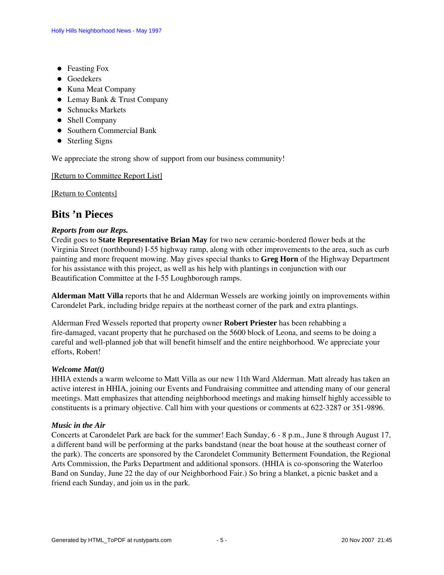- Feasting Fox
- **•** Goedekers
- Kuna Meat Company
- Lemay Bank & Trust Company
- Schnucks Markets
- Shell Company
- Southern Commercial Bank
- Sterling Signs

We appreciate the strong show of support from our business community!

#### [\[Return to Committee Report List\]](#page-1-3)

[\[Return to Contents\]](#page-0-2)

### <span id="page-4-0"></span>**Bits 'n Pieces**

#### *Reports from our Reps.*

Credit goes to **State Representative Brian May** for two new ceramic-bordered flower beds at the Virginia Street (northbound) I-55 highway ramp, along with other improvements to the area, such as curb painting and more frequent mowing. May gives special thanks to **Greg Horn** of the Highway Department for his assistance with this project, as well as his help with plantings in conjunction with our Beautification Committee at the I-55 Loughborough ramps.

**Alderman Matt Villa** reports that he and Alderman Wessels are working jointly on improvements within Carondelet Park, including bridge repairs at the northeast corner of the park and extra plantings.

Alderman Fred Wessels reported that property owner **Robert Priester** has been rehabbing a fire-damaged, vacant property that he purchased on the 5600 block of Leona, and seems to be doing a careful and well-planned job that will benefit himself and the entire neighborhood. We appreciate your efforts, Robert!

#### *Welcome Mat(t)*

HHIA extends a warm welcome to Matt Villa as our new 11th Ward Alderman. Matt already has taken an active interest in HHIA, joining our Events and Fundraising committee and attending many of our general meetings. Matt emphasizes that attending neighborhood meetings and making himself highly accessible to constituents is a primary objective. Call him with your questions or comments at 622-3287 or 351-9896.

#### *Music in the Air*

Concerts at Carondelet Park are back for the summer! Each Sunday, 6 - 8 p.m., June 8 through August 17, a different band will be performing at the parks bandstand (near the boat house at the southeast corner of the park). The concerts are sponsored by the Carondelet Community Betterment Foundation, the Regional Arts Commission, the Parks Department and additional sponsors. (HHIA is co-sponsoring the Waterloo Band on Sunday, June 22 the day of our Neighborhood Fair.) So bring a blanket, a picnic basket and a friend each Sunday, and join us in the park.